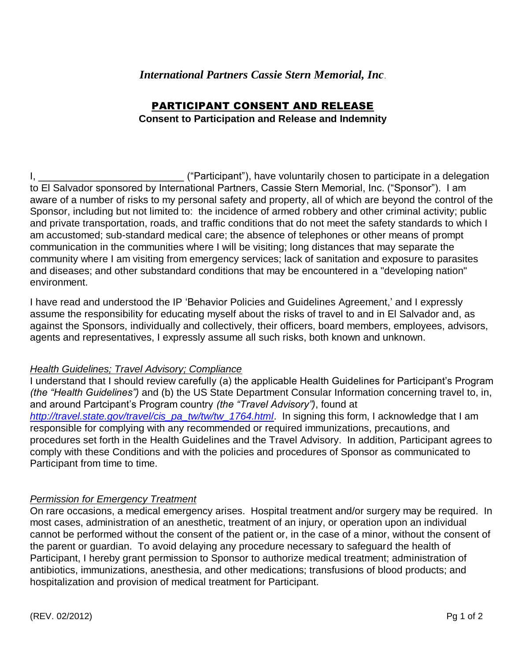# *International Partners Cassie Stern Memorial, Inc*.

# PARTICIPANT CONSENT AND RELEASE

### **Consent to Participation and Release and Indemnity**

I, \_\_\_\_\_\_\_\_\_\_\_\_\_\_\_\_\_\_\_\_\_\_\_\_\_\_ ("Participant"), have voluntarily chosen to participate in a delegation to El Salvador sponsored by International Partners, Cassie Stern Memorial, Inc. ("Sponsor"). I am aware of a number of risks to my personal safety and property, all of which are beyond the control of the Sponsor, including but not limited to: the incidence of armed robbery and other criminal activity; public and private transportation, roads, and traffic conditions that do not meet the safety standards to which I am accustomed; sub-standard medical care; the absence of telephones or other means of prompt communication in the communities where I will be visiting; long distances that may separate the community where I am visiting from emergency services; lack of sanitation and exposure to parasites and diseases; and other substandard conditions that may be encountered in a "developing nation" environment.

I have read and understood the IP 'Behavior Policies and Guidelines Agreement,' and I expressly assume the responsibility for educating myself about the risks of travel to and in El Salvador and, as against the Sponsors, individually and collectively, their officers, board members, employees, advisors, agents and representatives, I expressly assume all such risks, both known and unknown.

## *Health Guidelines; Travel Advisory; Compliance*

I understand that I should review carefully (a) the applicable Health Guidelines for Participant's Program *(the "Health Guidelines")* and (b) the US State Department Consular Information concerning travel to, in, and around Partcipant's Program country *(the "Travel Advisory")*, found at *[http://travel.state.gov/travel/cis\\_pa\\_tw/tw/tw\\_1764.html](http://travel.state.gov/travel/cis_pa_tw/tw/tw_1764.html)*. In signing this form, I acknowledge that I am responsible for complying with any recommended or required immunizations, precautions, and procedures set forth in the Health Guidelines and the Travel Advisory. In addition, Participant agrees to comply with these Conditions and with the policies and procedures of Sponsor as communicated to Participant from time to time.

## *Permission for Emergency Treatment*

On rare occasions, a medical emergency arises. Hospital treatment and/or surgery may be required. In most cases, administration of an anesthetic, treatment of an injury, or operation upon an individual cannot be performed without the consent of the patient or, in the case of a minor, without the consent of the parent or guardian. To avoid delaying any procedure necessary to safeguard the health of Participant, I hereby grant permission to Sponsor to authorize medical treatment; administration of antibiotics, immunizations, anesthesia, and other medications; transfusions of blood products; and hospitalization and provision of medical treatment for Participant.